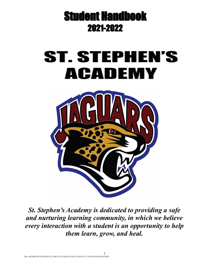

# **ST. STEPHEN'S ACADEMY**



*St. Stephen's Academy is dedicated to providing a safe and nurturing learning community, in which we believe every interaction with a student is an opportunity to help them learn, grow, and heal.*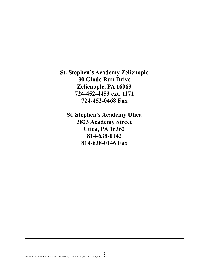**St. Stephen's Academy Zelienople 30 Glade Run Drive Zelienople, PA 16063 724-452-4453 ext. 1171 724-452-0468 Fax**

**St. Stephen's Academy Utica 3823 Academy Street Utica, PA 16362 814-638-0142 814-638-0146 Fax**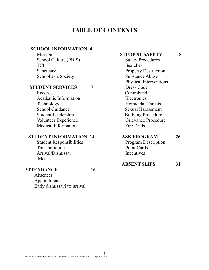# **TABLE OF CONTENTS**

### **SCHOOL INFORMATION 4**

Mission School Culture (PBIS) TCI Sanctuary School as a Society

#### **STUDENT SERVICES 7**

Records Academic Information Technology School Guidance Student Leadership Volunteer Experience Medical Information

### **STUDENT INFORMATION 14**

Student Responsibilities Transportation Arrival/Dismissal Meals

#### **ATTENDANCE 16**

Absences Appointments Early dismissal/late arrival

#### **STUDENT SAFETY 18**

Safety Procedures Searches Property Destruction Substance Abuse Physical Interventions Dress Code Contraband **Electronics** Homicidal Threats Sexual Harassment Bullying Procedure Grievance Procedure Fire Drills

### **ASK PROGRAM 26**

Program Description Point Cards **Incentives** 

| <b>ABSENT SLIPS</b> |  |
|---------------------|--|
|---------------------|--|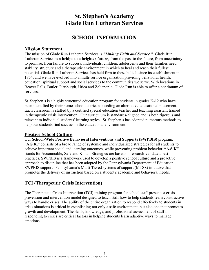# **St. Stephen's Academy Glade Run Lutheran Services**

# **SCHOOL INFORMATION**

### **Mission Statement**

The mission of Glade Run Lutheran Services is *"Linking Faith and Service."* Glade Run Lutheran Services is a **bridge to a brighter future**, from the past to the future, from uncertainty to promise, from failure to success. Individuals, children, adolescents and their families need stability, structure and a therapeutic environment in which to heal and reach their fullest potential. Glade Run Lutheran Services has held firm to these beliefs since its establishment in 1854, and we have evolved into a multi-service organization providing behavioral health, education, spiritual support and social services to the communities we serve. With locations in Beaver Falls, Butler, Pittsburgh, Utica and Zelienople, Glade Run is able to offer a [continuum of](http://www.gladerun.org/web/offices.htm) [services.](http://www.gladerun.org/web/offices.htm)

St. Stephen's is a highly structured education program for students in grades K-12 who have been identified by their home school district as needing an alternative educational placement. Each classroom is staffed by a certified special education teacher and teaching assistant trained in therapeutic crisis intervention. Our curriculum is standards-aligned and is both rigorous and relevant to individual students' learning styles. St. Stephen's has adopted numerous methods to help our students find success in the educational environment.

### **Positive School Culture**

Our **School-Wide Positive Behavioral Interventions and Supports (SWPBIS)** program,

"**A.S.K.**" consists of a broad range of systemic and individualized strategies for all students to achieve important social and learning outcomes, while preventing problem behavior. **"A.S.K"** stands for Accountable, Safe and Kind. Strategies are based on research-validated best practices. SWPBIS is a framework used to develop a positive school culture and a proactive approach to discipline that has been adopted by the Pennsylvania Department of Education. SWPBIS supports Pennsylvania's Multi-Tiered systems of support (MTSS) initiative that promotes the delivery of instruction based on a student's academic and behavioral needs.

### **TCI (Therapeutic Crisis Intervention)**

The Therapeutic Crisis Intervention (TCI) training program for school staff presents a crisis prevention and intervention model designed to teach staff how to help students learn constructive ways to handle crises. The ability of the entire organization to respond effectively to students in crisis situations is critical in establishing not only a safe environment, but also one that promotes growth and development. The skills, knowledge, and professional assessment of staff in responding to crises are critical factors in helping students learn adaptive ways to manage emotions.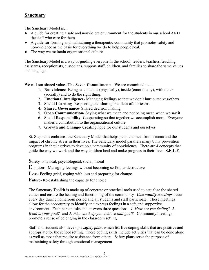### **Sanctuary**

The Sanctuary Model is…

- A guide for creating a safe and nonviolent environment for the students in our school AND the staff who care for them.
- A guide for forming and maintaining a therapeutic community that promotes safety and non-violence as the basis for everything we do to help people heal.
- The way we maintain organizational culture.

The Sanctuary Model is a way of guiding everyone in the school: leaders, teachers, teaching assistants, receptionists, custodians, support staff, children, and families to share the same values and language.

We call our shared values **The Seven Commitments**. We are committed to…

- 1. **Nonviolence** Being safe outside (physically), inside (emotionally), with others (socially) and to do the right thing.
- 2. **Emotional Intelligence** Managing feelings so that we don't hurt ourselves/others
- 3. **Social Learning** Respecting and sharing the ideas of our teams
- 4. **Shared Governance** Shared decision making
- 5. **Open Communication** Saying what we mean and not being mean when we say it
- 6. **Social Responsibility** Cooperating so that together we accomplish more. Everyone makes a contribution to the organizational culture
- 7. **Growth and Change** Creating hope for our students and ourselves

St. Stephen's embraces the Sanctuary Model that helps people to heal from trauma and the impact of chronic stress in their lives. The Sanctuary model parallels many bully prevention programs in that it strives to develop a community of nonviolence. There are 4 concepts that guide the way we work and the way children heal and make progress in their lives- **S.E.L.F.**

**S**afety- Physical, psychological, social, moral

**E**motions- Managing feelings without becoming self/other destructive

**L**oss- Feeling grief, coping with loss and preparing for change

**F**uture- Re-establishing the capacity for choice

The Sanctuary Toolkit is made up of concrete or practical tools used to actualize the shared values and ensure the healing and functioning of the community. *Community meetings* occur every day during homeroom period and all students and staff participate. These meetings allow for the opportunity to identify and express feelings in a safe and supportive environment. Each person asks and answers three questions: *1. How are you feeling? 2. What is your goal?* and *3. Who can help you achieve that goal?* Community meetings promote a sense of belonging in the classroom setting.

Staff and students also develop a *safety plan*, which list five coping skills that are positive and appropriate for the school setting. These coping skills include activities that can be done alone as well as those that require assistance from others. Safety plans serve the purpose of maintaining safety through emotional management.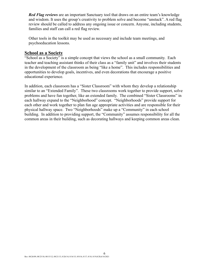*Red Flag reviews* are an important Sanctuary tool that draws on an entire team's knowledge and wisdom. It uses the group's creativity to problem solve and become "unstuck". A red flag review should be called to address any ongoing issue or concern. Anyone, including students, families and staff can call a red flag review.

Other tools in the toolkit may be used as necessary and include team meetings, and psychoeducation lessons.

### **School as a Society**

"School as a Society" is a simple concept that views the school as a small community. Each teacher and teaching assistant thinks of their class as a "family unit" and involves their students in the development of the classroom as being "like a home". This includes responsibilities and opportunities to develop goals, incentives, and even decorations that encourage a positive educational experience.

In addition, each classroom has a "Sister Classroom" with whom they develop a relationship similar to an "Extended Family". These two classrooms work together to provide support, solve problems and have fun together, like an extended family. The combined "Sister Classrooms" in each hallway expand to the "Neighborhood" concept. "Neighborhoods" provide support for each other and work together to plan fun age appropriate activities and are responsible for their physical hallway space. Two "Neighborhoods" make up a "Community" in each school building. In addition to providing support, the "Community" assumes responsibility for all the common areas in their building, such as decorating hallways and keeping common areas clean.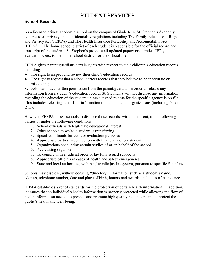# **STUDENT SERVICES**

### **School Records**

As a licensed private academic school on the campus of Glade Run, St. Stephen's Academy adheres to all privacy and confidentiality regulations including The Family Educational Rights and Privacy Act (FERPA) and The Health Insurance Portability and Accountability Act (HIPAA). The home school district of each student is responsible for the official record and transcript of the student. St. Stephen's provides all updated paperwork, grades, IEPs, evaluations, etc. to the home school district for the official file.

FERPA gives parent/guardians certain rights with respect to their children's education records including:

- The right to inspect and review their child's education records.
- The right to request that a school correct records that they believe to be inaccurate or misleading.

Schools must have written permission from the parent/guardian in order to release any information from a student's education record. St. Stephen's will not disclose any information regarding the education of the student unless a signed release for the specific agency is on file. This includes releasing records or information to mental health organizations (including Glade Run).

However, FERPA allows schools to disclose those records, without consent, to the following parties or under the following conditions:

- 1. School officials with legitimate educational interest
- 2. Other schools to which a student is transferring
- 3. Specified officials for audit or evaluation purposes
- 4. Appropriate parties in connection with financial aid to a student
- 5. Organizations conducting certain studies of or on behalf of the school
- 6. Accrediting organizations
- 7. To comply with a judicial order or lawfully issued subpoena
- 8. Appropriate officials in cases of health and safety emergencies
- 9. State and local authorities, within a juvenile justice system, pursuant to specific State law

Schools may disclose, without consent, "directory" information such as a student's name, address, telephone number, date and place of birth, honors and awards, and dates of attendance.

HIPAA establishes a set of standards for the protection of certain health information. In addition, it assures that an individual's health information is properly protected while allowing the flow of health information needed to provide and promote high quality health care and to protect the public's health and well-being.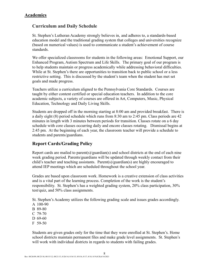### **Academics**

### **Curriculum and Daily Schedule**

St. Stephen's Lutheran Academy strongly believes in, and adheres to, a standards-based education model and the traditional grading system that colleges and universities recognize (based on numerical values) is used to communicate a student's achievement of course standards.

We offer specialized classrooms for students in the following areas: Emotional Support, our Enhanced Program, Autism Spectrum and Life Skills. The primary goal of our program is to help students maintain or progress academically while addressing behavioral difficulties. While at St. Stephen's there are opportunities to transition back to public school or a less restrictive setting. This is discussed by the student's team when the student has met set goals and made progress.

Teachers utilize a curriculum aligned to the Pennsylvania Core Standards. Courses are taught by either content certified or special education teachers. In addition to the core academic subjects, a variety of courses are offered in Art, Computers, Music, Physical Education, Technology and Daily Living Skills.

Students are dropped off in the morning starting at 8:00 am and provided breakfast. There is a daily eight (8) period schedule which runs from 8:30 am to 2:45 pm. Class periods are 42 minutes in length with 3 minutes between periods for transition. Classes rotate on a 6 day schedule with core classes occurring daily and encore classes rotating. Dismissal begins at 2:45 pm. At the beginning of each year, the classroom teacher will provide a schedule to students and parents/guardians.

### **Report Cards/Grading Policy**

Report cards are mailed to parent(s)/guardian(s) and school districts at the end of each nine week grading period. Parents/guardians will be updated through weekly contact from their child's teacher and teaching assistants. Parent(s)/guardian(s) are highly encouraged to attend IEP meetings which are scheduled throughout the school year.

Grades are based upon classroom work. Homework is a creative extension of class activities and is a vital part of the learning process. Completion of the work is the student's responsibility. St. Stephen's has a weighted grading system, 20% class participation, 30% test/quiz, and 50% class assignments.

St. Stephen's Academy utilizes the following grading scale and issues grades accordingly.

- A 100-90
- B 89-80
- C 79-70
- D 69-60
- F 59-50

Students are given grades only for the time that they were enrolled at St. Stephen's. Home school districts maintain permanent files and make grade level assignments. St. Stephen's will work with individual districts in regards to students with failing grades.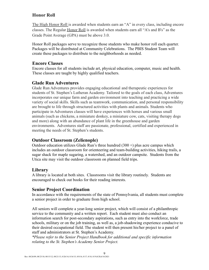# **Honor Roll**

The High Honor Roll is awarded when students earn an "A" in every class, including encore classes. The Regular Honor Roll is awarded when students earn all "A's and B's" as the Grade Point Average (GPA) must be above 3.0.

Honor Roll packages serve to recognize those students who make honor roll each quarter. Packages will be distributed at Community Celebrations. The PBIS Student Team will create these packages to distribute to the neighborhoods as needed.

### **Encore Classes**

Encore classes for all students include art, physical education, computer, music and health. These classes are taught by highly qualified teachers.

# **Glade Run Adventures**

Glade Run Adventures provides engaging educational and therapeutic experiences for students of St. Stephen's Lutheran Academy. Tailored to the goals of each class, Adventures incorporates our unique farm and garden environment into teaching and practicing a wide variety of social skills. Skills such as teamwork, communication, and personal responsibility are brought to life through structured activities with plants and animals. Students who participate in Adventures classes will have experiences with horses and various small animals (such as chickens, a miniature donkey, a miniature cow, cats, visiting therapy dogs and more) along with an abundance of plant life in the greenhouse and garden environments. Adventures staff are passionate, professional, certified and experienced in meeting the needs of St. Stephen's students.

# **Outdoor Classroom (Zelienople)**

Outdoor education utilizes Glade Run's three hundred  $(300 +)$  plus acre campus which includes an outdoor classroom for orienteering and team-building activities, hiking trails, a sugar shack for maple sugaring, a watershed, and an outdoor campsite. Students from the Utica site may visit the outdoor classroom on planned field trips.

# **Library**

A library is located at both sites. Classrooms visit the library routinely. Students are encouraged to check out books for their reading interests.

# **Senior Project Coordination**

In accordance with the requirements of the state of Pennsylvania, all students must complete a senior project in order to graduate from high school.

All seniors will complete a year-long senior project, which will consist of a philanthropic service to the community and a written report. Each student must also conduct an information search for post-secondary aspirations, such as entry into the workforce, trade schools, military or on the job training, as well as, a job-shadowing experience conducive to their desired occupational field. The student will then present his/her project to a panel of staff and administrators at St. Stephen's Academy.

*\*Please refer to the Senior Project Handbook for additional and specific information relating to the St. Stephen's Academy Senior Project.*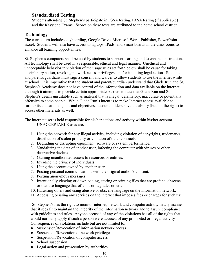### **Standardized Testing**

Students attending St. Stephen's participate in PSSA testing, PASA testing (if applicable) and the Keystone Exams. Scores on these tests are attributed to the home school district.

### **Technology**

The curriculum includes keyboarding, Google Drive, Microsoft Word, Publisher, PowerPoint Excel. Students will also have access to laptops, IPads, and Smart boards in the classrooms to enhance all learning opportunities.

St. Stephen's computers shall be used by students to support learning and to enhance instruction. All technology shall be used in a responsible, ethical and legal manner. Unethical and unacceptable behavior in violation of the usage rules set forth below shall be cause for taking disciplinary action, revoking network access privileges, and/or initiating legal action. Students and parents/guardians must sign a consent and waiver to allow students to use the internet while at school. It is imperative that the student and parent/guardian understand that Glade Run and St. Stephen's Academy does not have control of the information and data available on the internet, although it attempts to provide certain appropriate barriers to data that Glade Run and St. Stephen's deems unsuitable such as material that is illegal, defamatory, inaccurate or potentially offensive to some people. While Glade Run's intent is to make Internet access available to further its educational goals and objectives, account holders have the ability (but not the right) to access other materials as well.

The internet user is held responsible for his/her actions and activity within his/her account UNACCEPTABLE uses are:

- 1. Using the network for any illegal activity, including violation of copyrights, trademarks, distribution of stolen property or violation of other contracts.
- 2. Degrading or disrupting equipment, software or system performance.
- 3. Vandalizing the data of another user, infecting the computer with viruses or other destructive devices.
- 4. Gaining unauthorized access to resources or entities.
- 5. Invading the privacy of individuals
- 6. Using the account owned by another user
- 7. Posting personal communications with the original author's consent.
- 8. Posting anonymous messages
- 9. Intentionally viewing or downloading, storing or printing files that are profane, obscene or that use language that offends or degrades others.
- 10. Harassing others and using abusive or obscene language on the information network.
- 11. Accessing or using any services on the internet that imposes fees or charges for such use.

St. Stephen's has the right to monitor internet, network and computer activity in any manner that it sees fit to maintain the integrity of the information network and to assure compliance with guidelines and rules. Anyone accused of any of the violations has all of the rights that would normally apply if such a person were accused of any prohibited or illegal activity. Consequences of violations include but are not limited to:

- Suspension/Revocation of information network access
- Suspension/Revocation of network privileges
- Suspension/Revocation of computer access
- School suspension
- Legal action and prosecution by authorities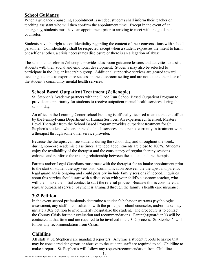### **School Guidance**

When a guidance counseling appointment is needed, students shall inform their teacher or teaching assistant who will then confirm the appointment time. Except in the event of an emergency, students must have an appointment prior to arriving to meet with the guidance counselor.

Students have the right to confidentiality regarding the content of their conversations with school personnel. Confidentiality shall be respected except when a student expresses the intent to harm oneself or another, a crisis necessitates disclosure or there is an allegation of abuse.

The school counselor in Zelienople provides classroom guidance lessons and activities to assist students with their social and emotional development. Students may also be selected to participate in the Jaguar leadership group. Additional supportive services are geared toward assisting students to experience success in the classroom setting and are not to take the place of the student's community mental health services.

### **School Based Outpatient Treatment (Zelienople)**

St. Stephen's Academy partners with the Glade Run School Based Outpatient Program to provide an opportunity for students to receive outpatient mental health services during the school day.

An office in the Learning Center school building is officially licensed as an outpatient office by the Pennsylvania Department of Human Services. An experienced, licensed, Masters Level Therapist from the School Based Program provides outpatient treatment for St. Stephen's students who are in need of such services, and are not currently in treatment with a therapist through some other service provider.

Because the therapist can see students during the school day, and throughout the week, during non-core academic class times, attended appointments are close to 100%. Students enjoy the availability of the therapist and the consistency of regular therapy sessions enhance and reinforce the trusting relationship between the student and the therapist.

Parents and/or Legal Guardians must meet with the therapist for an intake appointment prior to the start of student therapy sessions. Communication between the therapist and parents/ legal guardians is ongoing and could possibly include family sessions if needed. Inquiries about this service should start with a discussion with your child's classroom teacher, who will then make the initial contact to start the referral process. Because this is considered a regular outpatient service, payment is arranged through the family's health care insurance.

### **302 Petition**

In the event school professionals determine a student's behavior warrants psychological assessment, any staff in consultation with the principal, school counselor, and/or nurse may initiate a 302 petition to involuntarily hospitalize the student. The procedure is to contact the County Crisis for their evaluation and recommendations. Parent(s)/guardian(s) will be contacted at that time and are required to be involved in the 302 process. St. Stephen's will follow any recommendation from Crisis.

# **Childline**

All staff at St. Stephen's are mandated reporters. Anytime a student reports behavior that may be considered dangerous or abusive to the student, staff are required to call Childline to make a report. St. Stephen's will follow any request/recommendation from Childline.

11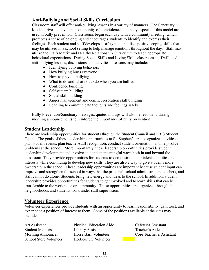# **Anti-Bullying and Social Skills Curriculum**

Classroom staff will offer anti-bullying lessons in a variety of manners. The Sanctuary Model strives to develop a community of nonviolence and many aspects of this model are used in bully prevention. Classrooms begin each day with a community meeting, which promotes a sense of belonging and encourages students to identify and express their feelings. Each student and staff develops a safety plan that lists positive coping skills that may be utilized in a school setting to help manage emotions throughout the day. Staff may utilize the PBIS Matrix and Healthy Relationship Curriculum to teach appropriate behavioral expectations. During Social Skills and Living Skills classroom staff will lead anti-bullying lessons, discussions and activities. Lessons may include:

- Identifying bullying behaviors
- How bullying hurts everyone
- How to prevent bullying
- What to do and what not to do when you are bullied
- Confidence building
- Self-esteem building
- Social skill building
- Anger management and conflict resolution skill building
- Learning to communicate thoughts and feelings safely

Bully Prevention/Sanctuary messages, quotes and tips will also be read daily during morning announcements to reinforce the importance of bully prevention.

### **Student Leadership**

There are leadership opportunities for students through the Student Council and PBIS Student Team. The goals of these leadership opportunities at St. Stephen's are to organize activities, plan student events, plan teacher/staff recognition, conduct student orientation, and help solve problems at the school. More importantly, these leadership opportunities provide student leadership development and involve students in meaningful ways both in and beyond the classroom. They provide opportunities for students to demonstrate their talents, abilities and interests while continuing to develop new skills. They are also a way to give students more ownership in the school. These leadership opportunities are important because student input can improve and strengthen the school in ways that the principal, school administrators, teachers, and staff cannot do alone. Students bring new energy and ideas to the school. In addition, student leadership provides opportunities for students to get involved and to learn skills that can be transferable to the workplace or community. These opportunities are organized through the neighborhoods and students work under staff supervision.

### **Volunteer Experience**

Volunteer experiences provide students with an opportunity to learn responsibility, gain trust, and experience a position of interest to them. Some of the positions available at the sites may include:

Art Assistant Physical Education Aide Cafeteria Assistant Student Mentors Library Assistant Teacher's Aide Morning Announcer Horse Barn Volunteer Core Teacher's Assistant School Store Volunteer Horticulture Volunteer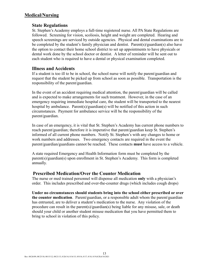### **Medical/Nursing**

### **State Regulations**

St. Stephen's Academy employs a full-time registered nurse. All PA State Regulations are followed. Screening for vision, scoliosis, height and weight are completed. Hearing and speech screenings are serviced by outside agencies. Physical and dental examinations are to be completed by the student's family physician and dentist. Parent(s)/guardian(s) also have the option to contact their home school district to set up appointments to have physicals or dental work done by the school doctor or dentist. A letter of reminder will be sent out to each student who is required to have a dental or physical examination completed.

### **Illness and Accidents**

If a student is too ill to be in school, the school nurse will notify the parent/guardian and request that the student be picked up from school as soon as possible. Transportation is the responsibility of the parent/guardian.

In the event of an accident requiring medical attention, the parent/guardian will be called and is expected to make arrangements for such treatment. However, in the case of an emergency requiring immediate hospital care, the student will be transported to the nearest hospital by ambulance. Parent(s)/guardian(s) will be notified of this action in such circumstances. Payment for ambulance service will be the responsibility of the parent/guardian.

In case of an emergency, it is vital that St. Stephen's Academy has current phone numbers to reach parent/guardian; therefore it is imperative that parent/guardian keep St. Stephen's informed of all current phone numbers. Notify St. Stephen's with any changes to home or work numbers and addresses. Two emergency contacts are required in the event the parent/guardian/guardians cannot be reached. These contacts **must** have access to a vehicle.

A state required Emergency and Health Information form must be completed by the parent(s)/guardian(s) upon enrollment in St. Stephen's Academy. This form is completed annually.

### **Prescribed Medication/Over the Counter Medication**

The nurse or med trained personnel will dispense all medication **only** with a physician's order. This includes prescribed and over-the-counter drugs (which includes cough drops)

**Under no circumstances should students bring into the school either prescribed or over the counter medication**. Parent/guardian, or a responsible adult whom the parent/guardian has entrusted, are to deliver a student's medication to the nurse. Any violation of the procedure can result in the parent(s)/guardian(s) being liable for any misuse, sale, or death should your child or another student misuse medication that you have permitted them to bring to school in violation of this policy.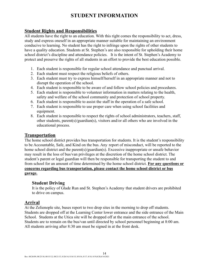# **STUDENT INFORMATION**

### **Student Rights and Responsibilities**

All students have the right to an education. With this right comes the responsibility to act, dress, study and express oneself in an appropriate manner suitable for maintaining an environment conducive to learning. No student has the right to infringe upon the rights of other students to have a quality education. Students at St. Stephen's are also responsible for upholding their home school district's discipline and attendance policies. It is the intent of St. Stephen's Academy to protect and preserve the rights of all students in an effort to provide the best education possible.

- 1. Each student is responsible for regular school attendance and punctual arrival.
- 2. Each student must respect the religious beliefs of others.
- 3. Each student must try to express himself/herself in an appropriate manner and not to disrupt the operation of the school.
- 4. Each student is responsible to be aware of and follow school policies and procedures.
- 5. Each student is responsible to volunteer information in matters relating to the health, safety and welfare of the school community and protection of school property.
- 6. Each student is responsible to assist the staff in the operation of a safe school.
- 7. Each student is responsible to use proper care when using school facilities and equipment.
- 8. Each student is responsible to respect the rights of school administrators, teachers, staff, other students, parent(s)/guardian(s), visitors and/or all others who are involved in the educational process.

### **Transportation**

The home school district provides bus transportation for students. It is the student's responsibility to be Accountable, Safe, and Kind on the bus. Any report of misconduct, will be reported to the home school district and the parent(s)/guardian(s). Excessive inappropriate or unsafe behavior may result in the loss of bus/van privileges at the discretion of the home school district. The student's parent or legal guardian will then be responsible for transporting the student to and from school for an amount of time determined by the home school district. **For any questions or concerns regarding bus transportation, please contact the home school district or bus garage.**

### **Student Driving**

It is the policy of Glade Run and St. Stephen's Academy that student drivers are prohibited to drive on campus.

### **Arrival**

At the Zelienople site, buses report to two drop sites in the morning to drop off students. Students are dropped off at the Learning Center lower entrance and the side entrance of the Main School. Students at the Utica site will be dropped off at the main entrance of the school. Students are to remain on the bus/van until directed by school personnel beginning at 8:00 am. All students arriving after 8:30 am must be signed in at the front desk.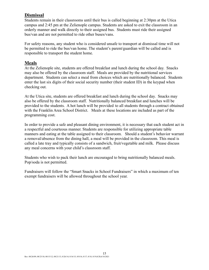# **Dismissal**

Students remain in their classrooms until their bus is called beginning at 2:30pm at the Utica campus and 2:45 pm at the Zelienople campus. Students are asked to exit the classroom in an orderly manner and walk directly to their assigned bus. Students must ride their assigned bus/van and are not permitted to ride other buses/vans.

For safety reasons, any student who is considered unsafe to transport at dismissal time will not be permitted to ride the bus/van home. The student's parent/guardian will be called and is responsible to transport the student home.

### **Meals**

At the Zelienople site, students are offered breakfast and lunch during the school day. Snacks may also be offered by the classroom staff. Meals are provided by the nutritional services department. Students can select a meal from choices which are nutritionally balanced. Students enter the last six digits of their social security number (their student ID) in the keypad when checking out.

At the Utica site, students are offered breakfast and lunch during the school day. Snacks may also be offered by the classroom staff. Nutritionally balanced breakfast and lunches will be provided to the students. A hot lunch will be provided to all students through a contract obtained with the Franklin Area School District. Meals at these locations are included as part of the programming cost.

In order to provide a safe and pleasant dining environment, it is necessary that each student act in a respectful and courteous manner. Students are responsible for utilizing appropriate table manners and eating at the table assigned to their classroom. Should a student's behavior warrant a removal/absence from the dining hall, a meal will be provided in the classroom. This meal is called a late tray and typically consists of a sandwich, fruit/vegetable and milk. Please discuss any meal concerns with your child's classroom staff.

Students who wish to pack their lunch are encouraged to bring nutritionally balanced meals. Pop/soda is not permitted.

Fundraisers will follow the "Smart Snacks in School Fundraisers" in which a maximum of ten exempt fundraisers will be allowed throughout the school year.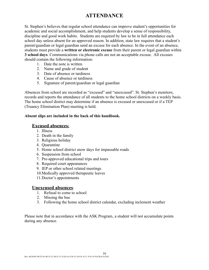# **ATTENDANCE**

St. Stephen's believes that regular school attendance can improve student's opportunities for academic and social accomplishment, and help students develop a sense of responsibility, discipline and good work habits. Students are required by law to be in full attendance each school day unless absent for an approved reason. In addition, state law requires that a student's parent/guardian or legal guardian send an excuse for each absence. In the event of an absence, students must provide a **written or electronic excuse** from their parent or legal guardian within **3 school days**. Communications via phone calls are not an acceptable excuse. All excuses should contain the following information:

- 1. Date the note is written
- 2. Name and grade of student
- 3. Date of absence or tardiness
- 4. Cause of absence or tardiness
- 5. Signature of parent/guardian or legal guardian

Absences from school are recorded as "excused" and "unexcused". St. Stephen's monitors, records and reports the attendance of all students to the home school districts on a weekly basis. The home school district may determine if an absence is excused or unexcused or if a TEP (Truancy Elimination Plan) meeting is held.

#### **Absent slips are included in the back of this handbook.**

### **Excused absences:**

- 1. Illness
- 2. Death in the family
- 3. Religious holiday
- 4. Quarantine
- 5. Home school district snow days for impassable roads
- 6. Suspension from school
- 7. Pre-approved educational trips and tours
- 8. Required court appearances
- 9. IEP or other school related meetings
- 10.Medically approved therapeutic leaves
- 11.Doctor's appointments

#### **Unexcused absences**:

- 1. Refusal to come to school
- 2. Missing the bus
- 3. Following the home school district calendar, excluding inclement weather

Please note that in accordance with the ASK Program, a student will not accumulate points during any absence.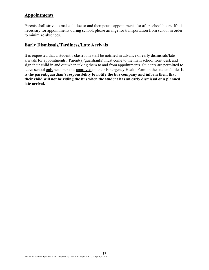# **Appointments**

Parents shall strive to make all doctor and therapeutic appointments for after school hours. If it is necessary for appointments during school, please arrange for transportation from school in order to minimize absences.

### **Early Dismissals/Tardiness/Late Arrivals**

It is requested that a student's classroom staff be notified in advance of early dismissals/late arrivals for appointments. Parent(s)/guardian(s) must come to the main school front desk and sign their child in and out when taking them to and from appointments. Students are permitted to leave school only with persons approved on their Emergency Health Form in the student's file. **It is the parent/guardian's responsibility to notify the bus company and inform them that their child will not be riding the bus when the student has an early dismissal or a planned late arrival.**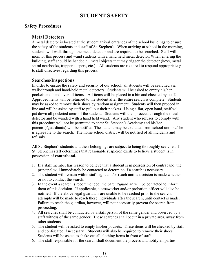# **STUDENT SAFETY**

### **Safety Procedures**

### **Metal Detectors**

A metal detector is located at the student arrival entrances of the school buildings to ensure the safety of the students and staff of St. Stephen's. When arriving at school in the morning, students will walk through the metal detector and are required to be searched. Staff will monitor this process and wand students with a hand held metal detector. When entering the building, staff should be handed all metal objects that may trigger the detector (keys, metal spiral notebooks, trapper keepers, etc.). All students are required to respond appropriately to staff directives regarding this process.

### **Searches/Inspections**

In order to ensure the safety and security of our school, all students will be searched via walk-through and hand-held metal detectors. Students will be asked to empty his/her pockets and hand over all items. All items will be placed in a bin and checked by staff. Approved items will be returned to the student after the entire search is complete. Students may be asked to remove their shoes by random assignment. Students will then proceed in line and will be asked by staff to pull out their pockets. Using a flat, open hand, staff will pat down all pocketed areas of the student. Students will then proceed through the metal detector and be wanded with a hand held wand. Any student who refuses to comply with this procedure will not be permitted to enter St. Stephen's Academy and his/her parent(s)/guardian(s) will be notified. The student may be excluded from school until he/she is agreeable to the search. The home school district will be notified of all incidents and refusals.

All St. Stephen's students and their belongings are subject to being thoroughly searched if St. Stephen's staff determines that reasonable suspicion exists to believe a student is in possession of **contraband.**

- 1. If a staff member has reason to believe that a student is in possession of contraband, the principal will immediately be contacted to determine if a search is necessary.
- 2. The student will remain within staff sight and/or reach until a decision is made whether or not to conduct the search.
- 3. In the event a search is recommended, the parent/guardian will be contacted to inform them of this decision. If applicable, a caseworker and/or probation officer will also be notified. If the above legal guardians are unable to be reached prior to the search, attempts will be made to reach these individuals after the search, until contact is made. Failure to reach the guardian, however, will not necessarily prevent the search from proceeding.
- 4. All searches shall be conducted by a staff person of the same gender and observed by a staff witness of the same gender. These searches shall occur in a private area, away from other students.
- 5. The student will be asked to empty his/her pockets. These items will be checked by staff and confiscated if necessary. Students will also be required to remove their shoes. Students will be asked to shake out all clothing items in front of staff.
- 6. The staff responsible for the search shall document the process and notify all parties.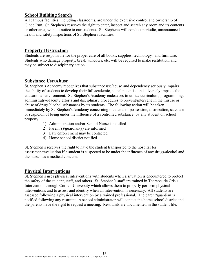### **School Building Search**

All campus facilities, including classrooms, are under the exclusive control and ownership of Glade Run. St. Stephen's reserves the right to enter, inspect and search any room and its contents or other area, without notice to our students. St. Stephen's will conduct periodic, unannounced health and safety inspections of St. Stephen's facilities.

### **Property Destruction**

Students are responsible for the proper care of all books, supplies, technology, and furniture. Students who damage property, break windows, etc. will be required to make restitution, and may be subject to disciplinary action.

### **Substance Use/Abuse**

St. Stephen's Academy recognizes that substance use/abuse and dependency seriously impairs the ability of students to develop their full academic, social potential and adversely impacts the educational environment. St. Stephen's Academy endeavors to utilize curriculum, programming, administrative/faculty efforts and disciplinary procedures to prevent/intervene in the misuse or abuse of drugs/alcohol substances by its students. The following action will be taken immediately by St. Stephen's Academy concerning incidents of possession, distribution, sale, use or suspicion of being under the influence of a controlled substance, by any student on school property:

- 1) Administration and/or School Nurse is notified
- 2) Parent(s)/guardian(s) are informed
- 3) Law enforcement may be contacted
- 4) Home school district notified

St. Stephen's reserves the right to have the student transported to the hospital for assessment/evaluation if a student is suspected to be under the influence of any drugs/alcohol and the nurse has a medical concern.

### **Physical Interventions**

St. Stephen's uses physical interventions with students when a situation is encountered to protect the safety of the student, staff, and others. St. Stephen's staff are trained in Therapeutic Crisis Intervention through Cornell University which allows them to properly perform physical interventions and to assess and identify when an intervention is necessary. All students are assessed following a physical intervention by a trained professional. The parent/guardian is notified following any restraint. A school administrator will contact the home school district and the parents have the right to request a meeting. Restraints are documented in the student file.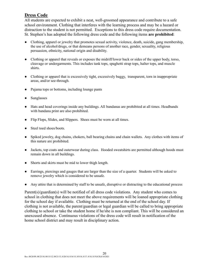# **Dress Code**

All students are expected to exhibit a neat, well-groomed appearance and contribute to a safe school environment. Clothing that interferes with the learning process and may be a hazard or distraction to the student is not permitted. Exceptions to this dress code require documentation. St. Stephen's has adopted the following dress code and the following items **are prohibited**:

- Clothing, apparel or jewelry that promotes sexual activity, violence, death, suicide, gang membership, the use of alcohol/drugs, or that demeans persons of another race, gender, sexuality, religious persuasion, ethnicity, national origin and disability.
- Clothing or apparel that reveals or exposes the midriff/lower back or sides of the upper body, torso, cleavage or undergarments. This includes tank tops, spaghetti strap tops, halter tops, and muscle shirts.
- Clothing or apparel that is excessively tight, excessively baggy, transparent, torn in inappropriate areas, and/or see-through.
- Pajama tops or bottoms, including lounge pants
- Sunglasses
- Hats and head coverings inside any buildings. All bandanas are prohibited at all times. Headbands with bandana print are also prohibited.
- Flip Flops, Slides, and Slippers. Shoes must be worn at all times.
- Steel toed shoes/boots.
- Spiked jewelry, dog chains, chokers, ball bearing chains and chain wallets. Any clothes with items of this nature are prohibited.
- Jackets, top coats and outerwear during class. Hooded sweatshirts are permitted although hoods must remain down in all buildings.
- Shorts and skirts must be mid to lower thigh length.
- Earrings, piercings and gauges that are larger than the size of a quarter. Students will be asked to remove jewelry which is considered to be unsafe.
- Any attire that is determined by staff to be unsafe, disruptive or distracting to the educational process

Parent(s)/guardian(s) will be notified of all dress code violations. Any student who comes to school in clothing that does not meet the above requirements will be loaned appropriate clothing for the school day if available. Clothing must be returned at the end of the school day. If clothing is not available, the parent/guardian or legal guardian will be called to bring appropriate clothing to school or take the student home if he/she is non compliant. This will be considered an unexcused absence. Continuous violations of the dress code will result in notification of the home school district and may result in disciplinary action.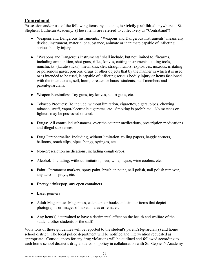# **Contraband**

Possession and/or use of the following items, by students, is **strictly prohibited** anywhere at St. Stephen's Lutheran Academy. (These items are referred to collectively as "Contraband")

- Weapons and Dangerous Instruments: "Weapons and Dangerous Instruments" means any device, instrument, material or substance, animate or inanimate capable of inflicting serious bodily injury.
- "Weapons and Dangerous Instruments" shall include, but not limited to, firearms, including ammunition, shot guns, rifles, knives, cutting instruments, cutting tools, nunchucks (karate sticks), metal knuckles, straight razors, explosives, noxious, irritating or poisonous gases, poisons, drugs or other objects that by the manner in which it is used or is intended to be used, is capable of inflicting serious bodily injury or items fashioned with the intent to use, sell, harm, threaten or harass students, staff members and parent/guardians.
- Weapon Facsimiles: Toy guns, toy knives, squirt guns, etc.
- Tobacco Products: To include, without limitation, cigarettes, cigars, pipes, chewing tobacco, snuff, vapor/electronic cigarettes, etc. Smoking is prohibited. No matches or lighters may be possessed or used.
- Drugs: All controlled substances, over the counter medications, prescription medications and illegal substances.
- Drug Paraphernalia: Including, without limitation, rolling papers, baggie corners, balloons, roach clips, pipes, bongs, syringes, etc.
- Non-prescription medications, including cough drops.
- Alcohol: Including, without limitation, beer, wine, liquor, wine coolers, etc.
- Paint: Permanent markers, spray paint, brush on paint, nail polish, nail polish remover, any aerosol sprays, etc.
- Energy drinks/pop, any open containers
- Laser pointers
- Adult Magazines: Magazines, calendars or books and similar items that depict photographs or images of naked males or females.
- $\bullet$  Any item(s) determined to have a detrimental effect on the health and welfare of the student, other students or the staff.

Violations of these guidelines will be reported to the student's parent(s)/guardian(s) and home school district. The local police department will be notified and intervention requested as appropriate. Consequences for any drug violations will be outlined and followed according to each home school district's drug and alcohol policy in collaboration with St. Stephen's Academy.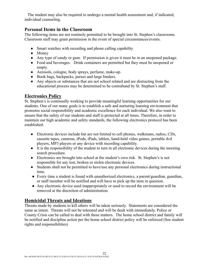The student may also be required to undergo a mental health assessment and, if indicated, individual counseling.

### **Personal Items in the Classroom**

The following items are not routinely permitted to be brought into St. Stephen's classrooms. Classroom staff may grant permission in the event of special circumstances/events.

- Smart watches with recording and phone calling capability
- Money
- Any type of candy or gum. If permission is given it must be in an unopened package.
- Food and beverages. Drink containers are permitted but they must be unopened or empty.
- Aerosols, cologne, body sprays, perfume, make-up.
- Book bags, backpacks, purses and large binders.
- Any objects or substances that are not school related and are distracting from the educational process may be determined to be contraband by St. Stephen's staff.

# **Electronics Policy**

St. Stephen's is continually working to provide meaningful learning opportunities for our students. One of our many goals is to establish a safe and nurturing learning environment that promotes social responsibility and academic excellence for each individual. We also want to ensure that the safety of our students and staff is protected at all times. Therefore, in order to maintain our high academic and safety standards, the following electronics protocol has been established:

- Electronic devices include but are not limited to cell phones, walkmans, radios, CDs, cassette tapes, cameras, iPods, iPads, tablets, hand-held video games, portable dvd players, MP3 players or any device with recording capability.
- It is the responsibility of the student to turn in all electronic devices during the morning search procedure.
- Electronics are brought into school at the student's own risk. St. Stephen's is not responsible for any lost, broken or stolen electronic devices.
- Students shall not be permitted to have/use any personal electronics during instructional time.
- Every time a student is found with unauthorized electronics, a parent/guardian, guardian, or staff member will be notified and will have to pick up the item in question.
- Any electronic device used inappropriately or used to record the environment will be removed at the discretion of administration.

# **Homicidal Threats and Ideations**

Threats made by students to kill others will be taken seriously. Statements are considered the same as intent. Threats will not be tolerated and will be dealt with immediately. Police or County Crisis can be called to deal with these matters. The home school district and family will be notified and discipline action per the home school district policy will be enforced (See student rights and responsibilities)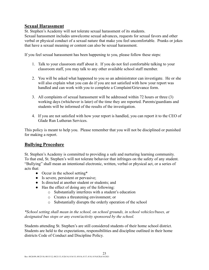# **Sexual Harassment**

St. Stephen's Academy will not tolerate sexual harassment of its students.

Sexual harassment includes unwelcome sexual advances, requests for sexual favors and other verbal or physical conduct of a sexual nature that make you feel uncomfortable. Pranks or jokes that have a sexual meaning or content can also be sexual harassment.

If you feel sexual harassment has been happening to you, please follow these steps:

- 1. Talk to your classroom staff about it. If you do not feel comfortable talking to your classroom staff, you may talk to any other available school staff member.
- 2. You will be asked what happened to you so an administrator can investigate. He or she will also explain what you can do if you are not satisfied with how your report was handled and can work with you to complete a Complaint/Grievance form.
- 3. All complaints of sexual harassment will be addressed within 72 hours or three (3) working days (whichever is later) of the time they are reported. Parents/guardians and students will be informed of the results of the investigation.
- 4. If you are not satisfied with how your report is handled, you can report it to the CEO of Glade Run Lutheran Services.

This policy is meant to help you. Please remember that you will not be disciplined or punished for making a report.

# **Bullying Procedure**

St. Stephen's Academy is committed to providing a safe and nurturing learning community. To that end, St. Stephen's will not tolerate behavior that infringes on the safety of any student. "Bullying" shall mean an intentional electronic, written, verbal or physical act, or a series of acts that:

- Occur in the school setting\*
- Is severe, persistent or pervasive;
- Is directed at another student or students; and
- Has the effect of doing any of the following:
	- o Substantially interferes with a student's education
	- o Creates a threatening environment; or
	- o Substantially disrupts the orderly operation of the school

*\*School setting shall mean in the school, on school grounds, in school vehicles/buses, at designated bus stops or any event/activity sponsored by the school.*

Students attending St. Stephen's are still considered students of their home school district. Students are held to the expectations, responsibilities and discipline outlined in their home districts Code of Conduct and Discipline Policy.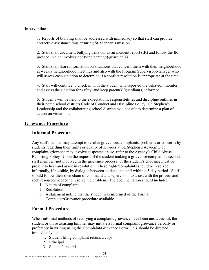#### **Intervention:**

1. Reports of bullying shall be addressed with immediacy so that staff can provide corrective assistance thus ensuring St. Stephen's mission..

2. Staff shall document bullying behavior as an incident report (IR) and follow the IR protocol which involves notifying parent(s)/guardian(s).

3. Staff shall share information on situations that concern them with their neighborhood at weekly neighborhood meetings and also with the Program Supervisor/Manager who will assess each situation to determine if a conflict resolution is appropriate at the time.

4. Staff will continue to check in with the student who reported the behavior, monitor and assess the situation for safety, and keep parent(s)/guardian(s) informed.

5. Students will be held to the expectations, responsibilities and discipline outlines in their home school districts Code of Conduct and Discipline Policy. St. Stephen's Leadership and the collaborating school districts will consult to determine a plan of action on violations.

### **Grievance Procedure**

### **Informal Procedure**

Any staff member may attempt to resolve grievances, complaints, problems or concerns by students regarding their rights or quality of services at St. Stephen's Academy. If complaint/grievance may involve suspected abuse, refer to the Agency's Child Abuse Reporting Policy. Upon the request of the student making a grievance/complaint a second staff member (not involved in the grievance process) of the student's choosing must be present to hear and assist in resolution. These rights/complaints should be resolved informally, if possible, by dialogue between student and staff within a 5-day period. Staff should follow their own chain of command and supervision to assist with the process and seek resources needed to resolve the problem. The documentation should include:

- 1. Nature of complaint
- 2. Resolution
- 3. A statement noting that the student was informed of the Formal Complaint/Grievance procedure available

### **Formal Procedure**

When informal methods of rectifying a complaint/grievance have been unsuccessful, the student or those assisting him/her may initiate a formal complaint/grievance verbally or preferably in writing using the Complaint/Grievance Form. This should be directed immediately to:

- 1. Student filing complaint retains a copy
- 2. Principal
- 3. Student's record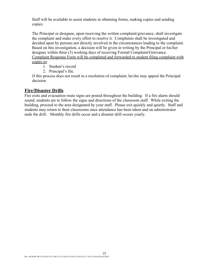Staff will be available to assist students in obtaining forms, making copies and sending copies.

The Principal or designee, upon receiving the written complaint/grievance, shall investigate the complaint and make every effort to resolve it. Complaints shall be investigated and decided upon by persons not directly involved in the circumstances leading to the complaint. Based on this investigation, a decision will be given in writing by the Principal or his/her designee within three (3) working days of receiving Formal Complaint/Grievance. Complaint Response Form will be completed and forwarded to student filing complaint with copies to:

- 1. Student's record
- 2. Principal's file.

If this process does not result in a resolution of complaint, he/she may appeal the Principal decision

### **Fire/Disaster Drills**

Fire exits and evacuation route signs are posted throughout the building. If a fire alarm should sound, students are to follow the signs and directions of the classroom staff. While exiting the building, proceed to the area designated by your staff. Please exit quickly and quietly. Staff and students may return to their classrooms once attendance has been taken and an administrator ends the drill. Monthly fire drills occur and a disaster drill occurs yearly.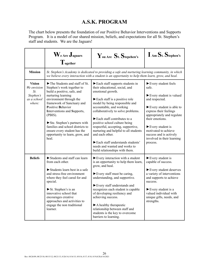# **A.S.K. PROGRAM**

The chart below presents the foundation of our Positive Behavior Interventions and Supports Program. It is a model of our shared mission, beliefs, and expectations for all St. Stephen's staff and students. We are the Jaguars!

|                                                                           | $\mathbf{W}_{\text{e Are}}\mathbf{J}_{\text{aguars}}$<br>$\mathbf{T}_{\text{ogether}}$                                                                                                                                                                                                                                                                                                                                         | You Are St. Stepehen's                                                                                                                                                                                                                                                                                                                                                                                                                                                                                                                           | I Am St. Stephen's                                                                                                                                                                                                                                                                                                                           |  |  |  |  |
|---------------------------------------------------------------------------|--------------------------------------------------------------------------------------------------------------------------------------------------------------------------------------------------------------------------------------------------------------------------------------------------------------------------------------------------------------------------------------------------------------------------------|--------------------------------------------------------------------------------------------------------------------------------------------------------------------------------------------------------------------------------------------------------------------------------------------------------------------------------------------------------------------------------------------------------------------------------------------------------------------------------------------------------------------------------------------------|----------------------------------------------------------------------------------------------------------------------------------------------------------------------------------------------------------------------------------------------------------------------------------------------------------------------------------------------|--|--|--|--|
| <b>Mission</b>                                                            | St. Stephen's Academy is dedicated to providing a safe and nurturing learning community, in which<br>we believe every interaction with a student is an opportunity to help them learn, grow, and heal.                                                                                                                                                                                                                         |                                                                                                                                                                                                                                                                                                                                                                                                                                                                                                                                                  |                                                                                                                                                                                                                                                                                                                                              |  |  |  |  |
| <b>Vision</b><br>We envision<br>St.<br>Stephen's<br>as a school<br>where: | $\blacktriangleright$ The Students and staff of St.<br>Stephen's work together to<br>build a positive, safe, and<br>nurturing learning<br>environment through the<br>framework of Sanctuary and<br>Positive Behavior<br>Interventions and Supports,<br>(PBIS).<br>$\triangleright$ Ste. Stephen's partners with<br>families and school districts to<br>ensure every student has the<br>opportunity to learn, grow, and<br>heal | $\blacktriangleright$ Each staff supports students in<br>their educational, social, and<br>emotional growth.<br>Each staff is a positive role<br>model by being responsible and<br>accountable, and working<br>collaboratively to solve problems.<br>$\blacktriangleright$ Each staff contributes to a<br>positive school culture being<br>respectful, accepting, supportive,<br>nurturing and helpful to all students<br>and each other.<br>Each staff understands students'<br>needs and wanted and works to<br>build relationships with them. | Every student feels<br>safe<br>Every student is valued<br>and respected.<br>$\blacktriangleright$ Every student is able to<br>express their feelings<br>appropriately and regulate<br>their emotions.<br>$\blacktriangleright$ Every student is<br>motivated to achieve<br>success and is actively<br>involved in their learning<br>process. |  |  |  |  |
| <b>Beliefs</b>                                                            | Students and staff can learn<br>from each other.<br>$\triangleright$ Students learn best in a safe<br>and stress-free environment<br>where they feel cared for and<br>special.<br>St. Stephen's is an<br>innovative school that<br>encourages creative<br>approaches and activities to<br>engage the non traditional<br>learner.                                                                                               | $\blacktriangleright$ Every interaction with a student<br>is an opportunity to help them learn,<br>grow, and heal.<br>$\blacktriangleright$ Every staff must be caring,<br>understanding, and supportive.<br>Every staff understands and<br>recognizes each student is capable<br>of developing resiliency and<br>achieving success.<br>$\blacktriangleright$ A healthy therapeutic<br>relationship between staff and<br>students is the key to overcome<br>barriers to learning.                                                                | $\blacktriangleright$ Every student is<br>capable of success.<br>Every student deserves<br>a variety of interventions<br>and supports to achieve<br>success.<br>$\blacktriangleright$ Every student is a<br>valued individual with<br>unique gifts, needs, and<br>strengths.                                                                 |  |  |  |  |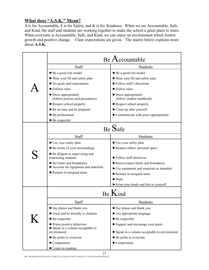# **What does "A.S.K." Mean?**

A is for Accountable, S is for Safety, and K is for Kindness. When we are Accountable, Safe, and Kind, the staff and students are working together to make the school a great place to learn. When everyone is Accountable, Safe, and Kind, we can enjoy an environment which fosters growth and positive change. Clear expectations are given. The matrix below explains more about **A.S.K.**

|         | Be Accountable                                                                |                                                                                 |  |  |  |  |  |  |
|---------|-------------------------------------------------------------------------------|---------------------------------------------------------------------------------|--|--|--|--|--|--|
|         | Staff                                                                         | Students                                                                        |  |  |  |  |  |  |
|         | Be a good role model                                                          | Be a good role model                                                            |  |  |  |  |  |  |
|         | ► Wear your ID and safety plan                                                | ► Wear your ID and safety plan                                                  |  |  |  |  |  |  |
|         | Set goals and expectations                                                    | $\blacktriangleright$ Follow staff's directions                                 |  |  |  |  |  |  |
|         | $\blacktriangleright$ Enforce rules                                           | $\blacktriangleright$ Follow rules                                              |  |  |  |  |  |  |
|         | $\blacktriangleright$ Dress appropriately<br>(follow policies and procedures) | $\blacktriangleright$ Dress appropriately<br>(follow student handbook)          |  |  |  |  |  |  |
|         | Respect school property                                                       | $\blacktriangleright$ Respect school property                                   |  |  |  |  |  |  |
|         | Be on time and be prepared                                                    | $\blacktriangleright$ Clean up after yourself                                   |  |  |  |  |  |  |
|         | $\blacktriangleright$ Be professional                                         | $\blacktriangleright$ Communicate with peers appropriately                      |  |  |  |  |  |  |
|         | $\blacktriangleright$ Be respectful                                           |                                                                                 |  |  |  |  |  |  |
|         | Be Safe                                                                       |                                                                                 |  |  |  |  |  |  |
|         | Staff                                                                         | Students                                                                        |  |  |  |  |  |  |
|         | Use your safety plan                                                          | $\blacktriangleright$ Use your safety plan                                      |  |  |  |  |  |  |
|         | Be aware of your surroundings                                                 | Respect others' personal space                                                  |  |  |  |  |  |  |
|         | $\blacktriangleright$ Be diligent in supervising and<br>monitoring students   | $\blacktriangleright$ Follow staff directives                                   |  |  |  |  |  |  |
|         | $\triangleright$ Set limits and boundaries                                    | $\blacktriangleright$ Know/respect limits and boundaries                        |  |  |  |  |  |  |
|         | Account for equipment and materials                                           | ► Use equipment and materials as intended                                       |  |  |  |  |  |  |
|         | Remain in assigned areas                                                      | Remain in assigned areas                                                        |  |  |  |  |  |  |
|         |                                                                               | $\blacktriangleright$ Walk                                                      |  |  |  |  |  |  |
|         |                                                                               | Keep your hands and feet to yourself                                            |  |  |  |  |  |  |
|         | $Be$ Kind                                                                     |                                                                                 |  |  |  |  |  |  |
|         | Staff                                                                         | Students                                                                        |  |  |  |  |  |  |
|         | Say please and thank you                                                      | $\blacktriangleright$ Say please and thank you                                  |  |  |  |  |  |  |
|         | $\blacktriangleright$ Greet and be friendly to students                       | $\blacktriangleright$ Use appropriate language                                  |  |  |  |  |  |  |
| $\bf K$ | $\blacktriangleright$ Be respectful                                           | $\blacktriangleright$ Be respectful                                             |  |  |  |  |  |  |
|         | $\blacktriangleright$ Praise positive behaviors                               | Support and encourage your peers                                                |  |  |  |  |  |  |
|         | $\blacktriangleright$ Speak in a volume acceptable to<br>environment          |                                                                                 |  |  |  |  |  |  |
|         | $\blacktriangleright$ Be polite to everyone                                   | $\triangleright$ Speak in a volume acceptable to environment                    |  |  |  |  |  |  |
|         | $\blacktriangleright$ Compromise                                              | $\blacktriangleright$ Be polite to everyone<br>$\blacktriangleright$ Compromise |  |  |  |  |  |  |
|         | Listen to students                                                            |                                                                                 |  |  |  |  |  |  |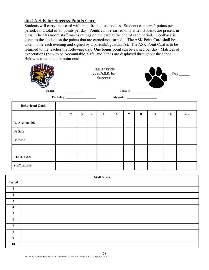# **Just A.S.K for Success Points Card**

Students will carry their card with them from class to class. Students can earn 3 points per period, for a total of 30 points per day. Points can be earned only when students are present in class. The classroom staff makes ratings on the card at the end of each period. Feedback is given to the student on the points that are earned/not earned. The ASK Point Card shall be taken home each evening and signed by a parent(s)/guardian(s). The ASK Point Card is to be returned to the teacher the following day. One bonus point can be earned per day. Matrices of expectations (how to be Accountable, Safe, and Kind) are displayed throughout the school. Below is a sample of a point card.

|                         |   |              |              | Jaguar Pride<br>Just A.S.K. for<br>Success! |                         |   |                |   | x<br>$Day$ <sub>_______</sub>                                                                                                                                                                                                                                                                                                                                                                                                                                                                 |    |              |
|-------------------------|---|--------------|--------------|---------------------------------------------|-------------------------|---|----------------|---|-----------------------------------------------------------------------------------------------------------------------------------------------------------------------------------------------------------------------------------------------------------------------------------------------------------------------------------------------------------------------------------------------------------------------------------------------------------------------------------------------|----|--------------|
|                         |   |              |              |                                             |                         |   |                |   | $\textbf{Today is:}\n\qquad \qquad \qquad \textbf{---}\n\qquad \qquad \textbf{---}\n\qquad \qquad \textbf{---}\n\qquad \qquad \textbf{---}\n\qquad \qquad \textbf{---}\n\qquad \qquad \textbf{---}\n\qquad \qquad \textbf{---}\n\qquad \qquad \textbf{---}\n\qquad \qquad \textbf{---}\n\qquad \qquad \textbf{---}\n\qquad \qquad \textbf{---}\n\qquad \qquad \textbf{---}\n\qquad \qquad \textbf{---}\n\qquad \qquad \textbf{---}\n\qquad \qquad \textbf{---}\n\qquad \qquad \textbf{---}\n$ |    |              |
|                         |   |              |              | My goal is: $\qquad \qquad$                 |                         |   |                |   |                                                                                                                                                                                                                                                                                                                                                                                                                                                                                               |    |              |
| <b>Behavioral Goals</b> |   |              |              |                                             |                         |   |                |   |                                                                                                                                                                                                                                                                                                                                                                                                                                                                                               |    |              |
|                         | 1 | $\mathbf{2}$ | $\mathbf{3}$ | 4                                           | $\overline{\mathbf{5}}$ | 6 | $\overline{7}$ | 8 | 9                                                                                                                                                                                                                                                                                                                                                                                                                                                                                             | 10 | <b>Total</b> |
| Be Accountable          |   |              |              |                                             |                         |   |                |   |                                                                                                                                                                                                                                                                                                                                                                                                                                                                                               |    |              |
| Be Safe                 |   |              |              |                                             |                         |   |                |   |                                                                                                                                                                                                                                                                                                                                                                                                                                                                                               |    |              |
| Be Kind                 |   |              |              |                                             |                         |   |                |   |                                                                                                                                                                                                                                                                                                                                                                                                                                                                                               |    |              |
|                         |   |              |              |                                             |                         |   |                |   |                                                                                                                                                                                                                                                                                                                                                                                                                                                                                               |    |              |
| <b>CI/CO Goal</b>       |   |              |              |                                             |                         |   |                |   |                                                                                                                                                                                                                                                                                                                                                                                                                                                                                               |    |              |
| <b>Staff Initials</b>   |   |              |              |                                             |                         |   |                |   |                                                                                                                                                                                                                                                                                                                                                                                                                                                                                               |    |              |
|                         |   |              |              |                                             |                         |   |                |   |                                                                                                                                                                                                                                                                                                                                                                                                                                                                                               |    |              |

| <b>Staff Notes</b> |  |  |  |  |
|--------------------|--|--|--|--|
| Period             |  |  |  |  |
| 1                  |  |  |  |  |
| $\mathbf{2}$       |  |  |  |  |
| 3                  |  |  |  |  |
| 4                  |  |  |  |  |
| 5                  |  |  |  |  |
| 6                  |  |  |  |  |
| 7                  |  |  |  |  |
| 8                  |  |  |  |  |
| 9                  |  |  |  |  |
| 10                 |  |  |  |  |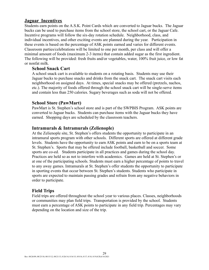### **Jaguar Incentives**

Students earn points on the A.S.K. Point Cards which are converted to Jaguar bucks. The Jaguar bucks can be used to purchase items from the school store, the school cart, or the Jaguar Cafe. Incentive programs will follow the six-day rotation schedule. Neighborhood, class, and individual incentives, and other exciting events are planned during the year. Participation in these events is based on the percentage of ASK points earned and varies for different events. Classroom parties/celebrations will be limited to one per month, per class and will offer a minimal amount of foods (maximum 2-3 items) that contain added sugar as the first ingredient. The following will be provided: fresh fruits and/or vegetables, water, 100% fruit juice, or low fat or nonfat milk.

### **School Snack Cart**

A school snack cart is available to students on a rotating basis. Students may use their Jaguar bucks to purchase snacks and drinks from the snack cart. The snack cart visits each neighborhood on assigned days. At times, special snacks may be offered (pretzels, nachos, etc.). The majority of foods offered through the school snack cart will be single-serve items and contain less than 250 calories. Sugary beverages such as soda will not be offered.

### **School Store (PawMart)**

PawMart is St. Stephen's school store and is part of the SWPBIS Program. ASK points are converted to Jaguar bucks. Students can purchase items with the Jaguar bucks they have earned. Shopping days are scheduled by the classroom teachers.

### **Intramurals & Intramurals (Zelienople)**

At the Zelienople site, St. Stephen's offers students the opportunity to participate in an intramural sports program with other schools. Different sports are offered at different grade levels. Students have the opportunity to earn ASK points and earn to be on a sports team at St. Stephen's. Sports that may be offered include football, basketball and soccer. Some sports are co-ed. Students participate in all practices and games during the school day. Practices are held so as not to interfere with academics. Games are held at St. Stephen's or at one of the participating schools. Students must earn a higher percentage of points to travel to any away games. Intramurals at St. Stephen's offer students the opportunity to participate in sporting events that occur between St. Stephen's students. Students who participate in sports are expected to maintain passing grades and refrain from any negative behaviors in order to participate.

### **Field Trips**

Field trips are offered throughout the school year to various places. Classes, neighborhoods or communities may plan field trips. Transportation is provided by the school. Students must earn a percentage of ASK points to participate in any field trip. Percentages may vary depending on the location and size of the trip.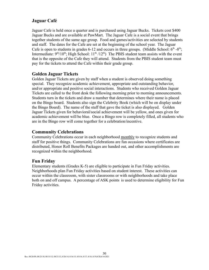# **Jaguar Café**

Jaguar Cafe is held once a quarter and is purchased using Jaguar Bucks. Tickets cost \$400 Jaguar Bucks and are available at PawMart. The Jaguar Cafe is a social event that brings together students of the same age group. Food and games/activities are selected by students and staff. The dates for the Cafe are set at the beginning of the school year. The Jaguar Cafe is open to students in grades 6-12 and occurs in three groups. (Middle School:  $6<sup>th</sup>$  -8<sup>th</sup>; Intermediate:  $9<sup>th</sup>/10<sup>th</sup>$ ; High School:  $11<sup>th</sup>/12<sup>th</sup>$ ) The PBIS student team assists with the event that is the opposite of the Cafe they will attend. Students from the PBIS student team must pay for the tickets to attend the Cafe within their grade group.

### **Golden Jaguar Tickets**

Golden Jaguar Tickets are given by staff when a student is observed doing something special. They recognize academic achievement, appropriate and outstanding behavior, and/or appropriate and positive social interactions. Students who received Golden Jaguar Tickets are called to the front desk the following morning prior to morning announcements. Students turn in the tickets and draw a number that determines where their name is placed on the Bingo board. Students also sign the Celebrity Book (which will be on display under the Bingo Board). The name of the staff that gave the ticket is also displayed. Golden Jaguar Tickets given for behavioral/social achievement will be yellow, and ones given for academic achievement will be blue. Once a Bingo row is completely filled, all students who are in the Bingo row will come together for a celebration/incentive.

# **Community Celebrations**

Community Celebrations occur in each neighborhood monthly to recognize students and staff for positive things. Community Celebrations are fun occasions where certificates are distributed, Honor Roll Benefits Packages are handed out, and other accomplishments are recognized within the neighborhood.

### **Fun Friday**

Elementary students (Grades K-5) are eligible to participate in Fun Friday activities. Neighborhoods plan Fun Friday activities based on student interest. These activities can occur within the classroom, with sister classrooms or with neighborhoods and take place both on and off campus. A percentage of ASK points is used to determine eligibility for Fun Friday activities.